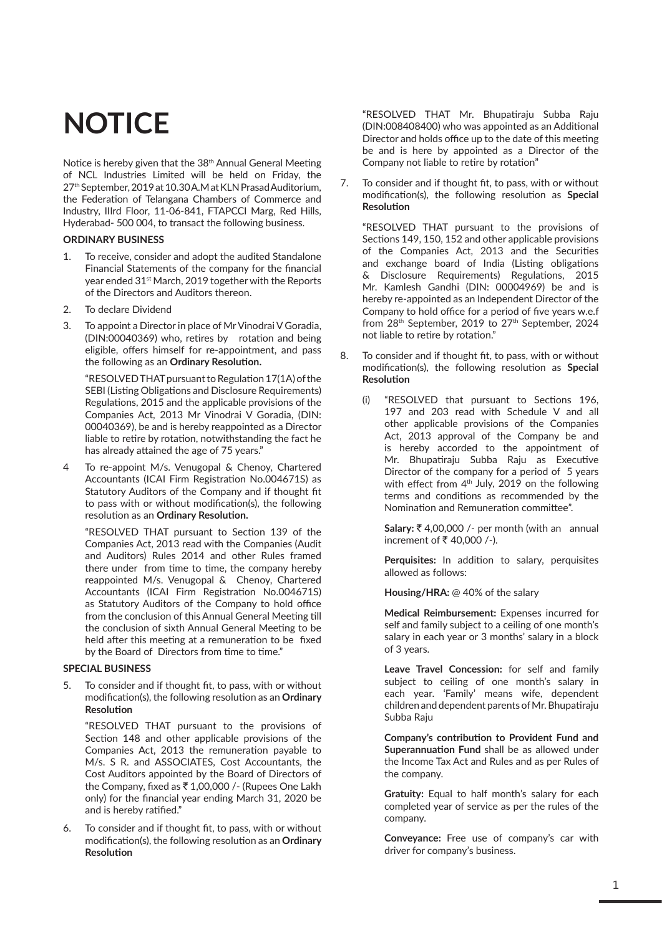# **NOTICE**

Notice is hereby given that the 38<sup>th</sup> Annual General Meeting of NCL Industries Limited will be held on Friday, the 27th September, 2019 at 10.30 A.M at KLN Prasad Auditorium, the Federation of Telangana Chambers of Commerce and Industry, IIIrd Floor, 11-06-841, FTAPCCI Marg, Red Hills, Hyderabad- 500 004, to transact the following business.

#### **ORDINARY BUSINESS**

- 1. To receive, consider and adopt the audited Standalone Financial Statements of the company for the financial year ended 31st March, 2019 together with the Reports of the Directors and Auditors thereon.
- 2. To declare Dividend
- 3. To appoint a Director in place of Mr Vinodrai V Goradia, (DIN:00040369) who, retires by rotation and being eligible, offers himself for re-appointment, and pass the following as an **Ordinary Resolution.**

"RESOLVED THAT pursuant to Regulation 17(1A) of the SEBI (Listing Obligations and Disclosure Requirements) Regulations, 2015 and the applicable provisions of the Companies Act, 2013 Mr Vinodrai V Goradia, (DIN: 00040369), be and is hereby reappointed as a Director liable to retire by rotation, notwithstanding the fact he has already attained the age of 75 years."

4 To re-appoint M/s. Venugopal & Chenoy, Chartered Accountants (ICAI Firm Registration No.004671S) as Statutory Auditors of the Company and if thought fit to pass with or without modification(s), the following resolution as an **Ordinary Resolution.**

"RESOLVED THAT pursuant to Section 139 of the Companies Act, 2013 read with the Companies (Audit and Auditors) Rules 2014 and other Rules framed there under from time to time, the company hereby reappointed M/s. Venugopal & Chenoy, Chartered Accountants (ICAI Firm Registration No.004671S) as Statutory Auditors of the Company to hold office from the conclusion of this Annual General Meeting till the conclusion of sixth Annual General Meeting to be held after this meeting at a remuneration to be fixed by the Board of Directors from time to time."

#### **SPECIAL BUSINESS**

5. To consider and if thought fit, to pass, with or without modification(s), the following resolution as an **Ordinary Resolution** 

"RESOLVED THAT pursuant to the provisions of Section 148 and other applicable provisions of the Companies Act, 2013 the remuneration payable to M/s. S R. and ASSOCIATES, Cost Accountants, the Cost Auditors appointed by the Board of Directors of the Company, fixed as  $\overline{\xi}$  1,00,000 /- (Rupees One Lakh only) for the financial year ending March 31, 2020 be and is hereby ratified."

6. To consider and if thought fit, to pass, with or without modification(s), the following resolution as an **Ordinary Resolution** 

"RESOLVED THAT Mr. Bhupatiraju Subba Raju (DIN:008408400) who was appointed as an Additional Director and holds office up to the date of this meeting be and is here by appointed as a Director of the Company not liable to retire by rotation"

7. To consider and if thought fit, to pass, with or without modification(s), the following resolution as **Special Resolution**

"RESOLVED THAT pursuant to the provisions of Sections 149, 150, 152 and other applicable provisions of the Companies Act, 2013 and the Securities and exchange board of India (Listing obligations & Disclosure Requirements) Regulations, 2015 Mr. Kamlesh Gandhi (DIN: 00004969) be and is hereby re-appointed as an Independent Director of the Company to hold office for a period of five years w.e.f from 28<sup>th</sup> September, 2019 to 27<sup>th</sup> September, 2024 not liable to retire by rotation."

- 8. To consider and if thought fit, to pass, with or without modification(s), the following resolution as **Special Resolution** 
	- (i) "RESOLVED that pursuant to Sections 196, 197 and 203 read with Schedule V and all other applicable provisions of the Companies Act, 2013 approval of the Company be and is hereby accorded to the appointment of Mr. Bhupatiraju Subba Raju as Executive Director of the company for a period of 5 years with effect from  $4<sup>th</sup>$  July, 2019 on the following terms and conditions as recommended by the Nomination and Remuneration committee".

**Salary:** ` 4,00,000 /- per month (with an annual increment of  $\bar{\tau}$  40,000 /-).

**Perquisites:** In addition to salary, perquisites allowed as follows:

**Housing/HRA:** @ 40% of the salary

**Medical Reimbursement:** Expenses incurred for self and family subject to a ceiling of one month's salary in each year or 3 months' salary in a block of 3 years.

**Leave Travel Concession:** for self and family subject to ceiling of one month's salary in each year. 'Family' means wife, dependent children and dependent parents of Mr. Bhupatiraju Subba Raju

**Company's contribution to Provident Fund and Superannuation Fund** shall be as allowed under the Income Tax Act and Rules and as per Rules of the company.

**Gratuity:** Equal to half month's salary for each completed year of service as per the rules of the company.

**Conveyance:** Free use of company's car with driver for company's business.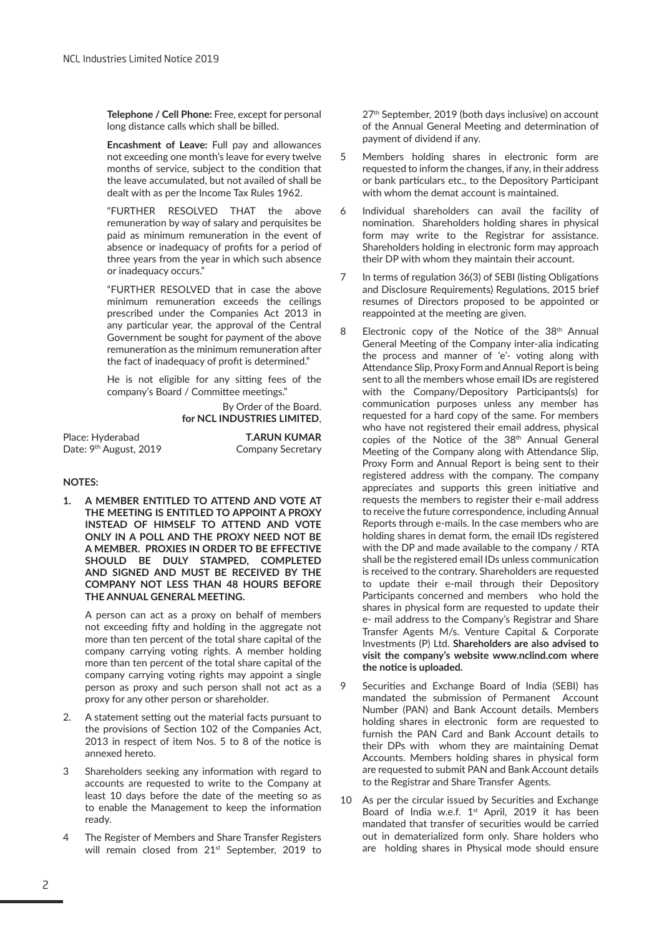**Telephone / Cell Phone:** Free, except for personal long distance calls which shall be billed.

**Encashment of Leave:** Full pay and allowances not exceeding one month's leave for every twelve months of service, subject to the condition that the leave accumulated, but not availed of shall be dealt with as per the Income Tax Rules 1962.

"FURTHER RESOLVED THAT the above remuneration by way of salary and perquisites be paid as minimum remuneration in the event of absence or inadequacy of profits for a period of three years from the year in which such absence or inadequacy occurs."

"FURTHER RESOLVED that in case the above minimum remuneration exceeds the ceilings prescribed under the Companies Act 2013 in any particular year, the approval of the Central Government be sought for payment of the above remuneration as the minimum remuneration after the fact of inadequacy of profit is determined."

He is not eligible for any sitting fees of the company's Board / Committee meetings."

#### By Order of the Board. **for NCL INDUSTRIES LIMITED**,

| Place: Hyderabad                   | <b>T.ARUN KUMAR</b>      |
|------------------------------------|--------------------------|
| Date: 9 <sup>th</sup> August, 2019 | <b>Company Secretary</b> |

#### **NOTES:**

**1. A MEMBER ENTITLED TO ATTEND AND VOTE AT THE MEETING IS ENTITLED TO APPOINT A PROXY INSTEAD OF HIMSELF TO ATTEND AND VOTE ONLY IN A POLL AND THE PROXY NEED NOT BE A MEMBER. PROXIES IN ORDER TO BE EFFECTIVE SHOULD BE DULY STAMPED, COMPLETED AND SIGNED AND MUST BE RECEIVED BY THE COMPANY NOT LESS THAN 48 HOURS BEFORE THE ANNUAL GENERAL MEETING.** 

A person can act as a proxy on behalf of members not exceeding fifty and holding in the aggregate not more than ten percent of the total share capital of the company carrying voting rights. A member holding more than ten percent of the total share capital of the company carrying voting rights may appoint a single person as proxy and such person shall not act as a proxy for any other person or shareholder.

- 2. A statement setting out the material facts pursuant to the provisions of Section 102 of the Companies Act, 2013 in respect of item Nos. 5 to 8 of the notice is annexed hereto.
- 3 Shareholders seeking any information with regard to accounts are requested to write to the Company at least 10 days before the date of the meeting so as to enable the Management to keep the information ready.
- 4 The Register of Members and Share Transfer Registers will remain closed from 21<sup>st</sup> September, 2019 to

27<sup>th</sup> September, 2019 (both days inclusive) on account of the Annual General Meeting and determination of payment of dividend if any.

- 5 Members holding shares in electronic form are requested to inform the changes, if any, in their address or bank particulars etc., to the Depository Participant with whom the demat account is maintained.
- 6 Individual shareholders can avail the facility of nomination. Shareholders holding shares in physical form may write to the Registrar for assistance. Shareholders holding in electronic form may approach their DP with whom they maintain their account.
- 7 In terms of regulation 36(3) of SEBI (listing Obligations and Disclosure Requirements) Regulations, 2015 brief resumes of Directors proposed to be appointed or reappointed at the meeting are given.
- 8 Electronic copy of the Notice of the 38<sup>th</sup> Annual General Meeting of the Company inter-alia indicating the process and manner of 'e'- voting along with Attendance Slip, Proxy Form and Annual Report is being sent to all the members whose email IDs are registered with the Company/Depository Participants(s) for communication purposes unless any member has requested for a hard copy of the same. For members who have not registered their email address, physical copies of the Notice of the 38<sup>th</sup> Annual General Meeting of the Company along with Attendance Slip, Proxy Form and Annual Report is being sent to their registered address with the company. The company appreciates and supports this green initiative and requests the members to register their e-mail address to receive the future correspondence, including Annual Reports through e-mails. In the case members who are holding shares in demat form, the email IDs registered with the DP and made available to the company / RTA shall be the registered email IDs unless communication is received to the contrary. Shareholders are requested to update their e-mail through their Depository Participants concerned and members who hold the shares in physical form are requested to update their e- mail address to the Company's Registrar and Share Transfer Agents M/s. Venture Capital & Corporate Investments (P) Ltd. **Shareholders are also advised to visit the company's website www.nclind.com where the notice is uploaded.**
- 9 Securities and Exchange Board of India (SEBI) has mandated the submission of Permanent Account Number (PAN) and Bank Account details. Members holding shares in electronic form are requested to furnish the PAN Card and Bank Account details to their DPs with whom they are maintaining Demat Accounts. Members holding shares in physical form are requested to submit PAN and Bank Account details to the Registrar and Share Transfer Agents.
- 10 As per the circular issued by Securities and Exchange Board of India w.e.f. 1<sup>st</sup> April, 2019 it has been mandated that transfer of securities would be carried out in dematerialized form only. Share holders who are holding shares in Physical mode should ensure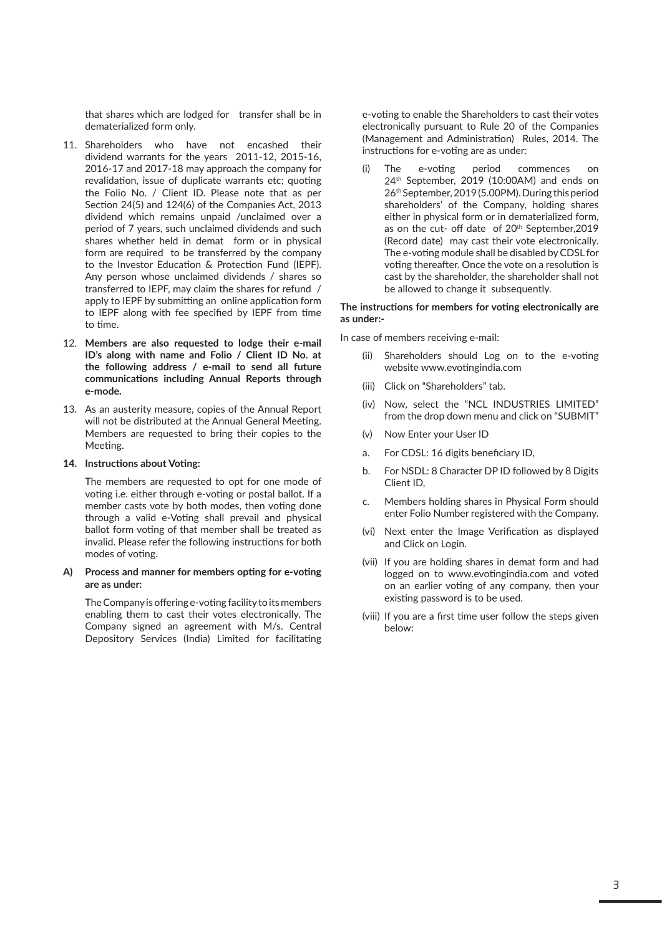that shares which are lodged for transfer shall be in dematerialized form only.

- 11. Shareholders who have not encashed their dividend warrants for the years 2011-12, 2015-16, 2016-17 and 2017-18 may approach the company for revalidation, issue of duplicate warrants etc; quoting the Folio No. / Client ID. Please note that as per Section 24(5) and 124(6) of the Companies Act, 2013 dividend which remains unpaid /unclaimed over a period of 7 years, such unclaimed dividends and such shares whether held in demat form or in physical form are required to be transferred by the company to the Investor Education & Protection Fund (IEPF). Any person whose unclaimed dividends / shares so transferred to IEPF, may claim the shares for refund / apply to IEPF by submitting an online application form to IEPF along with fee specified by IEPF from time to time.
- 12. **Members are also requested to lodge their e-mail ID's along with name and Folio / Client ID No. at the following address / e-mail to send all future communications including Annual Reports through e-mode.**
- 13. As an austerity measure, copies of the Annual Report will not be distributed at the Annual General Meeting. Members are requested to bring their copies to the Meeting.

#### **14. Instructions about Voting:**

The members are requested to opt for one mode of voting i.e. either through e-voting or postal ballot. If a member casts vote by both modes, then voting done through a valid e-Voting shall prevail and physical ballot form voting of that member shall be treated as invalid. Please refer the following instructions for both modes of voting.

#### **A) Process and manner for members opting for e-voting are as under:**

The Company is offering e-voting facility to its members enabling them to cast their votes electronically. The Company signed an agreement with M/s. Central Depository Services (India) Limited for facilitating e-voting to enable the Shareholders to cast their votes electronically pursuant to Rule 20 of the Companies (Management and Administration) Rules, 2014. The instructions for e-voting are as under:

(i) The e-voting period commences on 24th September, 2019 (10:00AM) and ends on 26th September, 2019 (5.00PM). During this period shareholders' of the Company, holding shares either in physical form or in dematerialized form, as on the cut- off date of 20<sup>th</sup> September, 2019 (Record date) may cast their vote electronically. The e-voting module shall be disabled by CDSL for voting thereafter. Once the vote on a resolution is cast by the shareholder, the shareholder shall not be allowed to change it subsequently.

#### **The instructions for members for voting electronically are as under:-**

In case of members receiving e-mail:

- (ii) Shareholders should Log on to the e-voting website www.evotingindia.com
- (iii) Click on "Shareholders" tab.
- (iv) Now, select the "NCL INDUSTRIES LIMITED" from the drop down menu and click on "SUBMIT"
- (v) Now Enter your User ID
- a. For CDSL: 16 digits beneficiary ID,
- b. For NSDL: 8 Character DP ID followed by 8 Digits Client ID,
- c. Members holding shares in Physical Form should enter Folio Number registered with the Company.
- (vi) Next enter the Image Verification as displayed and Click on Login.
- (vii) If you are holding shares in demat form and had logged on to www.evotingindia.com and voted on an earlier voting of any company, then your existing password is to be used.
- (viii) If you are a first time user follow the steps given below: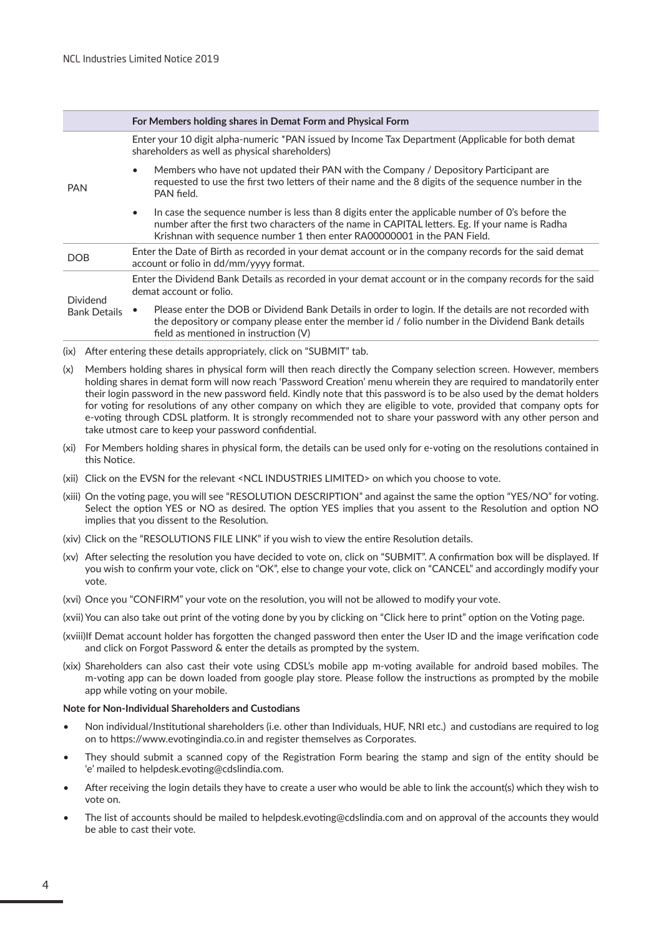|                     |           | For Members holding shares in Demat Form and Physical Form                                                                                                                                                                                                                    |
|---------------------|-----------|-------------------------------------------------------------------------------------------------------------------------------------------------------------------------------------------------------------------------------------------------------------------------------|
|                     |           | Enter your 10 digit alpha-numeric *PAN issued by Income Tax Department (Applicable for both demat<br>shareholders as well as physical shareholders)                                                                                                                           |
| <b>PAN</b>          |           | Members who have not updated their PAN with the Company / Depository Participant are<br>requested to use the first two letters of their name and the 8 digits of the sequence number in the<br>PAN field.                                                                     |
|                     | $\bullet$ | In case the sequence number is less than 8 digits enter the applicable number of O's before the<br>number after the first two characters of the name in CAPITAL letters. Eg. If your name is Radha<br>Krishnan with sequence number 1 then enter RA00000001 in the PAN Field. |
| <b>DOB</b>          |           | Enter the Date of Birth as recorded in your demat account or in the company records for the said demat<br>account or folio in dd/mm/yyyy format.                                                                                                                              |
| <b>Dividend</b>     |           | Enter the Dividend Bank Details as recorded in your demat account or in the company records for the said<br>demat account or folio.                                                                                                                                           |
| <b>Bank Details</b> |           | Please enter the DOB or Dividend Bank Details in order to login. If the details are not recorded with<br>the depository or company please enter the member id / folio number in the Dividend Bank details<br>field as mentioned in instruction (V)                            |

- (ix) After entering these details appropriately, click on "SUBMIT" tab.
- (x) Members holding shares in physical form will then reach directly the Company selection screen. However, members holding shares in demat form will now reach 'Password Creation' menu wherein they are required to mandatorily enter their login password in the new password field. Kindly note that this password is to be also used by the demat holders for voting for resolutions of any other company on which they are eligible to vote, provided that company opts for e-voting through CDSL platform. It is strongly recommended not to share your password with any other person and take utmost care to keep your password confidential.
- (xi) For Members holding shares in physical form, the details can be used only for e-voting on the resolutions contained in this Notice.
- (xii) Click on the EVSN for the relevant <NCL INDUSTRIES LIMITED> on which you choose to vote.
- (xiii) On the voting page, you will see "RESOLUTION DESCRIPTION" and against the same the option "YES/NO" for voting. Select the option YES or NO as desired. The option YES implies that you assent to the Resolution and option NO implies that you dissent to the Resolution.
- (xiv) Click on the "RESOLUTIONS FILE LINK" if you wish to view the entire Resolution details.
- (xv) After selecting the resolution you have decided to vote on, click on "SUBMIT". A confirmation box will be displayed. If you wish to confirm your vote, click on "OK", else to change your vote, click on "CANCEL" and accordingly modify your vote.
- (xvi) Once you "CONFIRM" your vote on the resolution, you will not be allowed to modify your vote.
- (xvii) You can also take out print of the voting done by you by clicking on "Click here to print" option on the Voting page.
- (xviii)If Demat account holder has forgotten the changed password then enter the User ID and the image verification code and click on Forgot Password & enter the details as prompted by the system.
- (xix) Shareholders can also cast their vote using CDSL's mobile app m-voting available for android based mobiles. The m-voting app can be down loaded from google play store. Please follow the instructions as prompted by the mobile app while voting on your mobile.

#### **Note for Non-Individual Shareholders and Custodians**

- Non individual/Institutional shareholders (i.e. other than Individuals, HUF, NRI etc.) and custodians are required to log on to https://www.evotingindia.co.in and register themselves as Corporates.
- They should submit a scanned copy of the Registration Form bearing the stamp and sign of the entity should be 'e' mailed to helpdesk.evoting@cdslindia.com.
- After receiving the login details they have to create a user who would be able to link the account(s) which they wish to vote on.
- The list of accounts should be mailed to helpdesk.evoting@cdslindia.com and on approval of the accounts they would be able to cast their vote.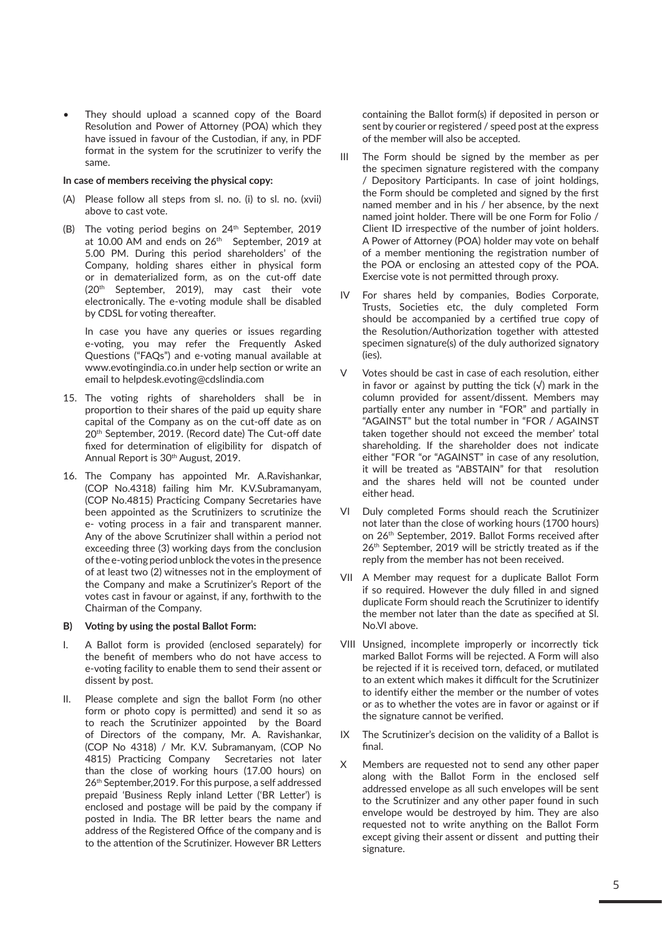They should upload a scanned copy of the Board Resolution and Power of Attorney (POA) which they have issued in favour of the Custodian, if any, in PDF format in the system for the scrutinizer to verify the same.

#### **In case of members receiving the physical copy:**

- (A) Please follow all steps from sl. no. (i) to sl. no. (xvii) above to cast vote.
- (B) The voting period begins on 24<sup>th</sup> September, 2019 at 10.00 AM and ends on 26<sup>th</sup> September, 2019 at 5.00 PM. During this period shareholders' of the Company, holding shares either in physical form or in dematerialized form, as on the cut-off date (20th September, 2019), may cast their vote electronically. The e-voting module shall be disabled by CDSL for voting thereafter.

In case you have any queries or issues regarding e-voting, you may refer the Frequently Asked Questions ("FAQs") and e-voting manual available at www.evotingindia.co.in under help section or write an email to helpdesk.evoting@cdslindia.com

- 15. The voting rights of shareholders shall be in proportion to their shares of the paid up equity share capital of the Company as on the cut-off date as on 20th September, 2019. (Record date) The Cut-off date fixed for determination of eligibility for dispatch of Annual Report is 30<sup>th</sup> August, 2019.
- 16. The Company has appointed Mr. A.Ravishankar, (COP No.4318) failing him Mr. K.V.Subramanyam, (COP No.4815) Practicing Company Secretaries have been appointed as the Scrutinizers to scrutinize the e- voting process in a fair and transparent manner. Any of the above Scrutinizer shall within a period not exceeding three (3) working days from the conclusion of the e-voting period unblock the votes in the presence of at least two (2) witnesses not in the employment of the Company and make a Scrutinizer's Report of the votes cast in favour or against, if any, forthwith to the Chairman of the Company.

#### **B) Voting by using the postal Ballot Form:**

- I. A Ballot form is provided (enclosed separately) for the benefit of members who do not have access to e-voting facility to enable them to send their assent or dissent by post.
- II. Please complete and sign the ballot Form (no other form or photo copy is permitted) and send it so as to reach the Scrutinizer appointed by the Board of Directors of the company, Mr. A. Ravishankar, (COP No 4318) / Mr. K.V. Subramanyam, (COP No 4815) Practicing Company Secretaries not later than the close of working hours (17.00 hours) on 26th September,2019. For this purpose, a self addressed prepaid 'Business Reply inland Letter ('BR Letter') is enclosed and postage will be paid by the company if posted in India. The BR letter bears the name and address of the Registered Office of the company and is to the attention of the Scrutinizer. However BR Letters

containing the Ballot form(s) if deposited in person or sent by courier or registered / speed post at the express of the member will also be accepted.

- III The Form should be signed by the member as per the specimen signature registered with the company / Depository Participants. In case of joint holdings, the Form should be completed and signed by the first named member and in his / her absence, by the next named joint holder. There will be one Form for Folio / Client ID irrespective of the number of joint holders. A Power of Attorney (POA) holder may vote on behalf of a member mentioning the registration number of the POA or enclosing an attested copy of the POA. Exercise vote is not permitted through proxy.
- IV For shares held by companies, Bodies Corporate, Trusts, Societies etc, the duly completed Form should be accompanied by a certified true copy of the Resolution/Authorization together with attested specimen signature(s) of the duly authorized signatory (ies).
- Votes should be cast in case of each resolution, either in favor or against by putting the tick  $(\sqrt{})$  mark in the column provided for assent/dissent. Members may partially enter any number in "FOR" and partially in "AGAINST" but the total number in "FOR / AGAINST taken together should not exceed the member' total shareholding. If the shareholder does not indicate either "FOR "or "AGAINST" in case of any resolution, it will be treated as "ABSTAIN" for that resolution and the shares held will not be counted under either head.
- VI Duly completed Forms should reach the Scrutinizer not later than the close of working hours (1700 hours) on 26<sup>th</sup> September, 2019. Ballot Forms received after 26<sup>th</sup> September, 2019 will be strictly treated as if the reply from the member has not been received.
- VII A Member may request for a duplicate Ballot Form if so required. However the duly filled in and signed duplicate Form should reach the Scrutinizer to identify the member not later than the date as specified at Sl. No.VI above.
- VIII Unsigned, incomplete improperly or incorrectly tick marked Ballot Forms will be rejected. A Form will also be rejected if it is received torn, defaced, or mutilated to an extent which makes it difficult for the Scrutinizer to identify either the member or the number of votes or as to whether the votes are in favor or against or if the signature cannot be verified.
- IX The Scrutinizer's decision on the validity of a Ballot is final.
- X Members are requested not to send any other paper along with the Ballot Form in the enclosed self addressed envelope as all such envelopes will be sent to the Scrutinizer and any other paper found in such envelope would be destroyed by him. They are also requested not to write anything on the Ballot Form except giving their assent or dissent and putting their signature.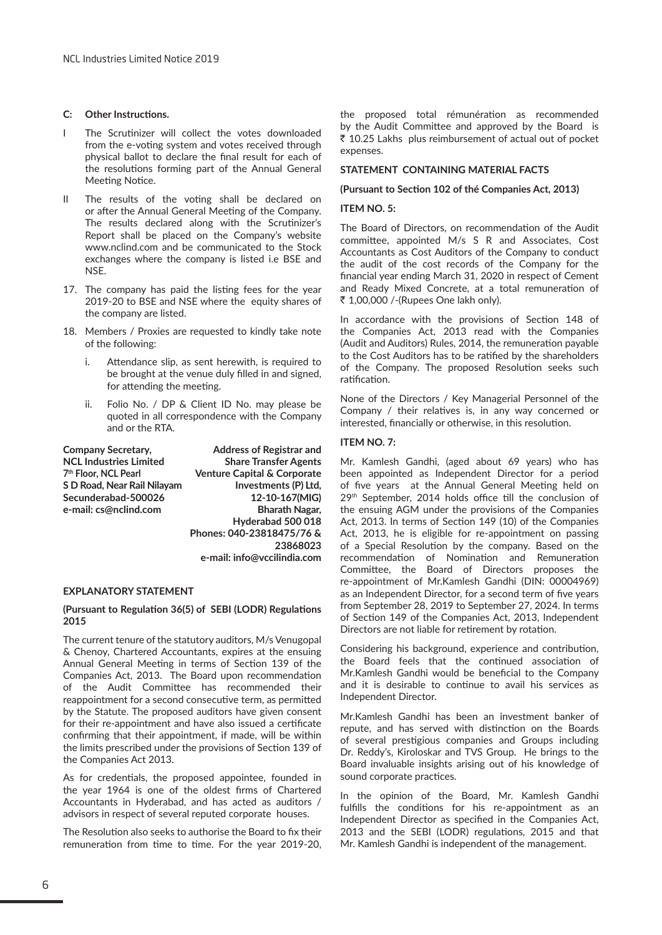#### **C: Other Instructions.**

- I The Scrutinizer will collect the votes downloaded from the e-voting system and votes received through physical ballot to declare the final result for each of the resolutions forming part of the Annual General Meeting Notice.
- II The results of the voting shall be declared on or after the Annual General Meeting of the Company. The results declared along with the Scrutinizer's Report shall be placed on the Company's website www.nclind.com and be communicated to the Stock exchanges where the company is listed i.e BSE and NSE.
- 17. The company has paid the listing fees for the year 2019-20 to BSE and NSE where the equity shares of the company are listed.
- 18. Members / Proxies are requested to kindly take note of the following:
	- i. Attendance slip, as sent herewith, is required to be brought at the venue duly filled in and signed, for attending the meeting.
	- ii. Folio No. / DP & Client ID No. may please be quoted in all correspondence with the Company and or the RTA.

| Company Secretary,            | <b>Address of Registrar and</b>        |
|-------------------------------|----------------------------------------|
| <b>NCL Industries Limited</b> | <b>Share Transfer Agents</b>           |
| 7th Floor. NCL Pearl          | <b>Venture Capital &amp; Corporate</b> |
| S D Road, Near Rail Nilayam   | Investments (P) Ltd,                   |
| Secunderabad-500026           | 12-10-167(MIG)                         |
| e-mail: cs@nclind.com         | Bharath Nagar,                         |
|                               | Hyderabad 500 018                      |
|                               | Phones: 040-23818475/76 &              |
|                               | 23868023                               |
|                               |                                        |

**e-mail: info@vccilindia.com**

#### **EXPLANATORY STATEMENT**

#### **(Pursuant to Regulation 36(5) of SEBI (LODR) Regulations 2015**

The current tenure of the statutory auditors, M/s Venugopal & Chenoy, Chartered Accountants, expires at the ensuing Annual General Meeting in terms of Section 139 of the Companies Act, 2013. The Board upon recommendation of the Audit Committee has recommended their reappointment for a second consecutive term, as permitted by the Statute. The proposed auditors have given consent for their re-appointment and have also issued a certificate confirming that their appointment, if made, will be within the limits prescribed under the provisions of Section 139 of the Companies Act 2013.

As for credentials, the proposed appointee, founded in the year 1964 is one of the oldest firms of Chartered Accountants in Hyderabad, and has acted as auditors / advisors in respect of several reputed corporate houses.

The Resolution also seeks to authorise the Board to fix their remuneration from time to time. For the year 2019-20, the proposed total rémunération as recommended by the Audit Committee and approved by the Board is ` 10.25 Lakhs plus reimbursement of actual out of pocket expenses.

#### **STATEMENT CONTAINING MATERIAL FACTS**

**(Pursuant to Section 102 of thé Companies Act, 2013)**

#### **ITEM NO. 5:**

The Board of Directors, on recommendation of the Audit committee, appointed M/s S R and Associates, Cost Accountants as Cost Auditors of the Company to conduct the audit of the cost records of the Company for the financial year ending March 31, 2020 in respect of Cement and Ready Mixed Concrete, at a total remuneration of ` 1,00,000 /-(Rupees One lakh only).

In accordance with the provisions of Section 148 of the Companies Act, 2013 read with the Companies (Audit and Auditors) Rules, 2014, the remuneration payable to the Cost Auditors has to be ratified by the shareholders of the Company. The proposed Resolution seeks such ratification.

None of the Directors / Key Managerial Personnel of the Company / their relatives is, in any way concerned or interested, financially or otherwise, in this resolution.

#### **ITEM NO. 7:**

Mr. Kamlesh Gandhi, (aged about 69 years) who has been appointed as Independent Director for a period of five years at the Annual General Meeting held on 29th September, 2014 holds office till the conclusion of the ensuing AGM under the provisions of the Companies Act, 2013. In terms of Section 149 (10) of the Companies Act, 2013, he is eligible for re-appointment on passing of a Special Resolution by the company. Based on the recommendation of Nomination and Remuneration Committee, the Board of Directors proposes the re-appointment of Mr.Kamlesh Gandhi (DIN: 00004969) as an Independent Director, for a second term of five years from September 28, 2019 to September 27, 2024. In terms of Section 149 of the Companies Act, 2013, Independent Directors are not liable for retirement by rotation.

Considering his background, experience and contribution, the Board feels that the continued association of Mr.Kamlesh Gandhi would be beneficial to the Company and it is desirable to continue to avail his services as Independent Director.

Mr.Kamlesh Gandhi has been an investment banker of repute, and has served with distinction on the Boards of several prestigious companies and Groups including Dr. Reddy's, Kiroloskar and TVS Group. He brings to the Board invaluable insights arising out of his knowledge of sound corporate practices.

In the opinion of the Board, Mr. Kamlesh Gandhi fulfills the conditions for his re-appointment as an Independent Director as specified in the Companies Act, 2013 and the SEBI (LODR) regulations, 2015 and that Mr. Kamlesh Gandhi is independent of the management.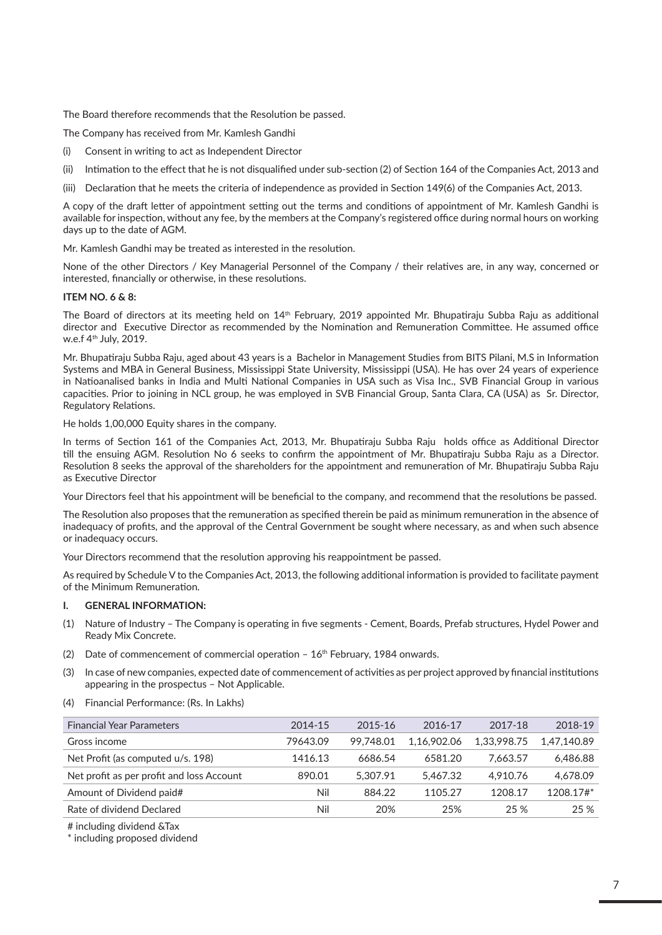The Board therefore recommends that the Resolution be passed.

The Company has received from Mr. Kamlesh Gandhi

- (i) Consent in writing to act as Independent Director
- (ii) Intimation to the effect that he is not disqualified under sub-section (2) of Section 164 of the Companies Act, 2013 and
- (iii) Declaration that he meets the criteria of independence as provided in Section 149(6) of the Companies Act, 2013.

A copy of the draft letter of appointment setting out the terms and conditions of appointment of Mr. Kamlesh Gandhi is available for inspection, without any fee, by the members at the Company's registered office during normal hours on working days up to the date of AGM.

Mr. Kamlesh Gandhi may be treated as interested in the resolution.

None of the other Directors / Key Managerial Personnel of the Company / their relatives are, in any way, concerned or interested, financially or otherwise, in these resolutions.

#### **ITEM NO. 6 & 8:**

The Board of directors at its meeting held on 14th February, 2019 appointed Mr. Bhupatiraju Subba Raju as additional director and Executive Director as recommended by the Nomination and Remuneration Committee. He assumed office w.e.f 4th July, 2019.

Mr. Bhupatiraju Subba Raju, aged about 43 years is a Bachelor in Management Studies from BITS Pilani, M.S in Information Systems and MBA in General Business, Mississippi State University, Mississippi (USA). He has over 24 years of experience in Natioanalised banks in India and Multi National Companies in USA such as Visa Inc., SVB Financial Group in various capacities. Prior to joining in NCL group, he was employed in SVB Financial Group, Santa Clara, CA (USA) as Sr. Director, Regulatory Relations.

He holds 1,00,000 Equity shares in the company.

In terms of Section 161 of the Companies Act, 2013, Mr. Bhupatiraju Subba Raju holds office as Additional Director till the ensuing AGM. Resolution No 6 seeks to confirm the appointment of Mr. Bhupatiraju Subba Raju as a Director. Resolution 8 seeks the approval of the shareholders for the appointment and remuneration of Mr. Bhupatiraju Subba Raju as Executive Director

Your Directors feel that his appointment will be beneficial to the company, and recommend that the resolutions be passed.

The Resolution also proposes that the remuneration as specified therein be paid as minimum remuneration in the absence of inadequacy of profits, and the approval of the Central Government be sought where necessary, as and when such absence or inadequacy occurs.

Your Directors recommend that the resolution approving his reappointment be passed.

As required by Schedule V to the Companies Act, 2013, the following additional information is provided to facilitate payment of the Minimum Remuneration.

#### **I. GENERAL INFORMATION:**

- (1) Nature of Industry The Company is operating in five segments Cement, Boards, Prefab structures, Hydel Power and Ready Mix Concrete.
- (2) Date of commencement of commercial operation  $-16<sup>th</sup>$  February, 1984 onwards.
- (3) In case of new companies, expected date of commencement of activities as per project approved by financial institutions appearing in the prospectus – Not Applicable.
- (4) Financial Performance: (Rs. In Lakhs)

| <b>Financial Year Parameters</b>          | 2014-15  | 2015-16   | 2016-17     | 2017-18     | 2018-19     |
|-------------------------------------------|----------|-----------|-------------|-------------|-------------|
| Gross income                              | 79643.09 | 99.748.01 | 1.16.902.06 | 1.33.998.75 | 1.47.140.89 |
| Net Profit (as computed u/s. 198)         | 1416.13  | 6686.54   | 6581.20     | 7.663.57    | 6.486.88    |
| Net profit as per profit and loss Account | 890.01   | 5.307.91  | 5.467.32    | 4.910.76    | 4.678.09    |
| Amount of Dividend paid#                  | Nil      | 884.22    | 1105.27     | 1208.17     | 1208.17#*   |
| Rate of dividend Declared                 | Nil      | 20%       | 25%         | 25 %        | 25 %        |

# including dividend &Tax

\* including proposed dividend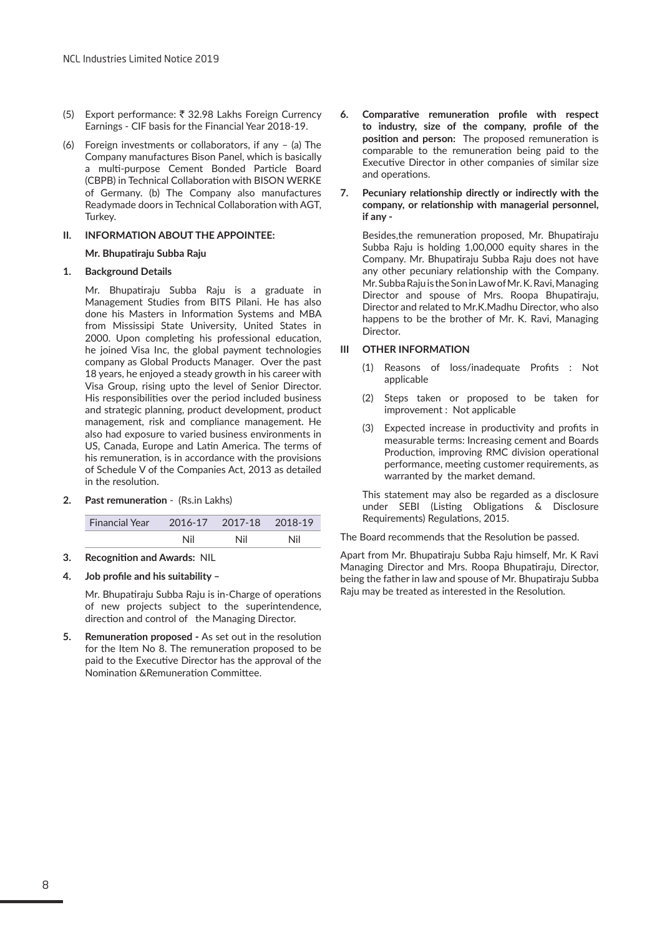- (5) Export performance: ₹ 32.98 Lakhs Foreign Currency Earnings - CIF basis for the Financial Year 2018-19.
- (6) Foreign investments or collaborators, if any (a) The Company manufactures Bison Panel, which is basically a multi-purpose Cement Bonded Particle Board (CBPB) in Technical Collaboration with BISON WERKE of Germany. (b) The Company also manufactures Readymade doors in Technical Collaboration with AGT, Turkey.

#### **II. INFORMATION ABOUT THE APPOINTEE:**

#### **Mr. Bhupatiraju Subba Raju**

#### **1. Background Details**

Mr. Bhupatiraju Subba Raju is a graduate in Management Studies from BITS Pilani. He has also done his Masters in Information Systems and MBA from Mississipi State University, United States in 2000. Upon completing his professional education, he joined Visa Inc, the global payment technologies company as Global Products Manager. Over the past 18 years, he enjoyed a steady growth in his career with Visa Group, rising upto the level of Senior Director. His responsibilities over the period included business and strategic planning, product development, product management, risk and compliance management. He also had exposure to varied business environments in US, Canada, Europe and Latin America. The terms of his remuneration, is in accordance with the provisions of Schedule V of the Companies Act, 2013 as detailed in the resolution.

#### **2. Past remuneration** - (Rs.in Lakhs)

| Financial Year 2016-17 2017-18 2018-19 |     |     |     |
|----------------------------------------|-----|-----|-----|
|                                        | Nil | Nil | Nil |

#### **3. Recognition and Awards:** NIL

#### **4. Job profile and his suitability –**

Mr. Bhupatiraju Subba Raju is in-Charge of operations of new projects subject to the superintendence, direction and control of the Managing Director.

**5. Remuneration proposed -** As set out in the resolution for the Item No 8. The remuneration proposed to be paid to the Executive Director has the approval of the Nomination &Remuneration Committee.

- **6. Comparative remuneration profile with respect to industry, size of the company, profile of the position and person:** The proposed remuneration is comparable to the remuneration being paid to the Executive Director in other companies of similar size and operations.
- **7. Pecuniary relationship directly or indirectly with the company, or relationship with managerial personnel, if any -**

Besides,the remuneration proposed, Mr. Bhupatiraju Subba Raju is holding 1,00,000 equity shares in the Company. Mr. Bhupatiraju Subba Raju does not have any other pecuniary relationship with the Company. Mr. Subba Raju is the Son in Law of Mr. K. Ravi, Managing Director and spouse of Mrs. Roopa Bhupatiraju, Director and related to Mr.K.Madhu Director, who also happens to be the brother of Mr. K. Ravi, Managing Director.

#### **III OTHER INFORMATION**

- (1) Reasons of loss/inadequate Profits : Not applicable
- (2) Steps taken or proposed to be taken for improvement : Not applicable
- (3) Expected increase in productivity and profits in measurable terms: Increasing cement and Boards Production, improving RMC division operational performance, meeting customer requirements, as warranted by the market demand.

This statement may also be regarded as a disclosure under SEBI (Listing Obligations & Disclosure Requirements) Regulations, 2015.

The Board recommends that the Resolution be passed.

Apart from Mr. Bhupatiraju Subba Raju himself, Mr. K Ravi Managing Director and Mrs. Roopa Bhupatiraju, Director, being the father in law and spouse of Mr. Bhupatiraju Subba Raju may be treated as interested in the Resolution.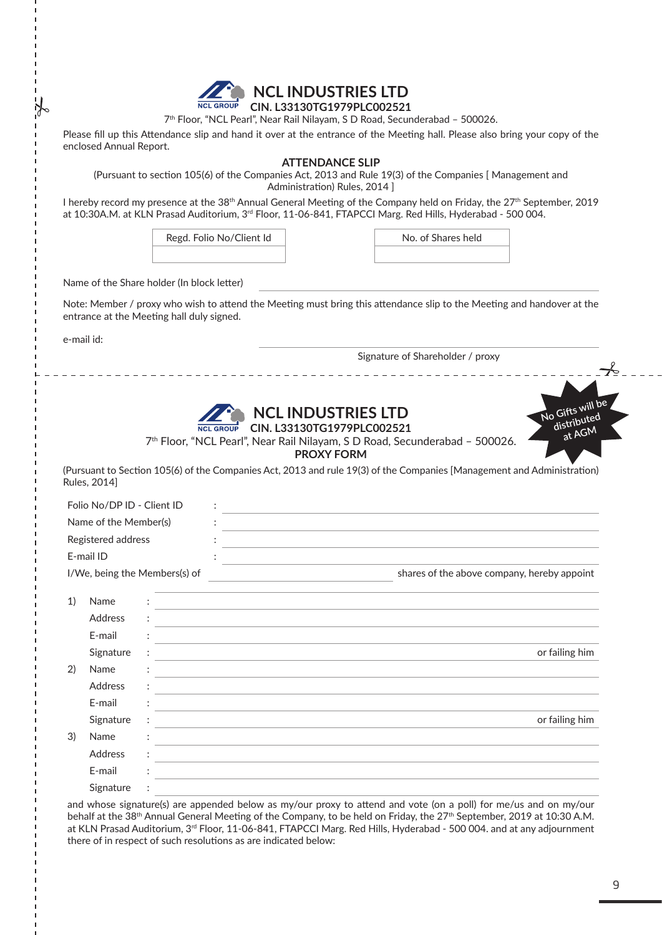

## **NCL INDUSTRIES LTD CIN. L33130TG1979PLC002521**

7th Floor, "NCL Pearl", Near Rail Nilayam, S D Road, Secunderabad – 500026.

Please fill up this Attendance slip and hand it over at the entrance of the Meeting hall. Please also bring your copy of the enclosed Annual Report.

## **ATTENDANCE SLIP**

(Pursuant to section 105(6) of the Companies Act, 2013 and Rule 19(3) of the Companies [ Management and Administration) Rules, 2014 ]

I hereby record my presence at the 38<sup>th</sup> Annual General Meeting of the Company held on Friday, the 27<sup>th</sup> September, 2019 at 10:30A.M. at KLN Prasad Auditorium, 3<sup>rd</sup> Floor, 11-06-841, FTAPCCI Marg. Red Hills, Hyderabad - 500 004.

Regd. Folio No/Client Id No. of Shares held

Name of the Share holder (In block letter)

Note: Member / proxy who wish to attend the Meeting must bring this attendance slip to the Meeting and handover at the entrance at the Meeting hall duly signed.

e-mail id:

Signature of Shareholder / proxy







7th Floor, "NCL Pearl", Near Rail Nilayam, S D Road, Secunderabad – 500026.

**PROXY FORM**

(Pursuant to Section 105(6) of the Companies Act, 2013 and rule 19(3) of the Companies [Management and Administration) Rules, 2014]

|                       | Folio No/DP ID - Client ID    |   |  |                                                                                                                                    |
|-----------------------|-------------------------------|---|--|------------------------------------------------------------------------------------------------------------------------------------|
| Name of the Member(s) |                               |   |  |                                                                                                                                    |
| Registered address    |                               |   |  |                                                                                                                                    |
|                       | E-mail ID                     |   |  |                                                                                                                                    |
|                       | I/We, being the Members(s) of |   |  | shares of the above company, hereby appoint<br>the control of the control of the control of the control of the control of          |
| 1)                    | Name                          |   |  | and the control of the control of the control of the control of the control of the control of the control of the                   |
|                       | Address                       |   |  |                                                                                                                                    |
|                       | E-mail                        |   |  |                                                                                                                                    |
|                       | Signature                     | ÷ |  | or failing him                                                                                                                     |
| 2)                    | Name                          |   |  |                                                                                                                                    |
|                       | Address                       |   |  |                                                                                                                                    |
|                       | E-mail                        |   |  |                                                                                                                                    |
|                       | Signature                     |   |  | or failing him<br>and the control of the control of the control of the control of the control of the control of the control of the |
| 3)                    | Name                          |   |  |                                                                                                                                    |
|                       | Address                       |   |  |                                                                                                                                    |
|                       | E-mail                        |   |  |                                                                                                                                    |
|                       | Signature                     |   |  |                                                                                                                                    |
|                       |                               |   |  |                                                                                                                                    |

and whose signature(s) are appended below as my/our proxy to attend and vote (on a poll) for me/us and on my/our behalf at the 38<sup>th</sup> Annual General Meeting of the Company, to be held on Friday, the 27<sup>th</sup> September, 2019 at 10:30 A.M. at KLN Prasad Auditorium, 3<sup>rd</sup> Floor, 11-06-841, FTAPCCI Marg. Red Hills, Hyderabad - 500 004. and at any adjournment there of in respect of such resolutions as are indicated below: